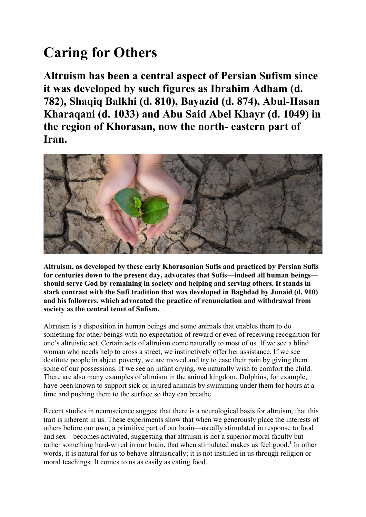## Caring for Others

Altruism has been a central aspect of Persian Sufism since it was developed by such figures as Ibrahim Adham (d. 782), Shaqiq Balkhi (d. 810), Bayazid (d. 874), Abul-Hasan Kharaqani (d. 1033) and Abu Said Abel Khayr (d. 1049) in the region of Khorasan, now the north- eastern part of Iran.



Altruism, as developed by these early Khorasanian Sufis and practiced by Persian Sufis for centuries down to the present day, advocates that Sufis—indeed all human beings should serve God by remaining in society and helping and serving others. It stands in stark contrast with the Sufi tradition that was developed in Baghdad by Junaid (d. 910) and his followers, which advocated the practice of renunciation and withdrawal from society as the central tenet of Sufism.

Altruism is a disposition in human beings and some animals that enables them to do something for other beings with no expectation of reward or even of receiving recognition for one's altruistic act. Certain acts of altruism come naturally to most of us. If we see a blind woman who needs help to cross a street, we instinctively offer her assistance. If we see destitute people in abject poverty, we are moved and try to ease their pain by giving them some of our possessions. If we see an infant crying, we naturally wish to comfort the child. There are also many examples of altruism in the animal kingdom. Dolphins, for example, have been known to support sick or injured animals by swimming under them for hours at a time and pushing them to the surface so they can breathe.

Recent studies in neuroscience suggest that there is a neurological basis for altruism, that this trait is inherent in us. These experiments show that when we generously place the interests of others before our own, a primitive part of our brain—usually stimulated in response to food and sex—becomes activated, suggesting that altruism is not a superior moral faculty but rather something hard-wired in our brain, that when stimulated makes us feel good.<sup>1</sup> In other words, it is natural for us to behave altruistically; it is not instilled in us through religion or moral teachings. It comes to us as easily as eating food.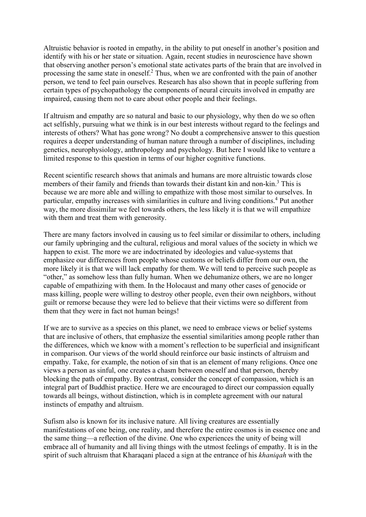Altruistic behavior is rooted in empathy, in the ability to put oneself in another's position and identify with his or her state or situation. Again, recent studies in neuroscience have shown that observing another person's emotional state activates parts of the brain that are involved in processing the same state in oneself.<sup>2</sup> Thus, when we are confronted with the pain of another person, we tend to feel pain ourselves. Research has also shown that in people suffering from certain types of psychopathology the components of neural circuits involved in empathy are impaired, causing them not to care about other people and their feelings.

If altruism and empathy are so natural and basic to our physiology, why then do we so often act selfishly, pursuing what we think is in our best interests without regard to the feelings and interests of others? What has gone wrong? No doubt a comprehensive answer to this question requires a deeper understanding of human nature through a number of disciplines, including genetics, neurophysiology, anthropology and psychology. But here I would like to venture a limited response to this question in terms of our higher cognitive functions.

Recent scientific research shows that animals and humans are more altruistic towards close members of their family and friends than towards their distant kin and non-kin.<sup>3</sup> This is because we are more able and willing to empathize with those most similar to ourselves. In particular, empathy increases with similarities in culture and living conditions.<sup>4</sup> Put another way, the more dissimilar we feel towards others, the less likely it is that we will empathize with them and treat them with generosity.

There are many factors involved in causing us to feel similar or dissimilar to others, including our family upbringing and the cultural, religious and moral values of the society in which we happen to exist. The more we are indoctrinated by ideologies and value-systems that emphasize our differences from people whose customs or beliefs differ from our own, the more likely it is that we will lack empathy for them. We will tend to perceive such people as "other," as somehow less than fully human. When we dehumanize others, we are no longer capable of empathizing with them. In the Holocaust and many other cases of genocide or mass killing, people were willing to destroy other people, even their own neighbors, without guilt or remorse because they were led to believe that their victims were so different from them that they were in fact not human beings!

If we are to survive as a species on this planet, we need to embrace views or belief systems that are inclusive of others, that emphasize the essential similarities among people rather than the differences, which we know with a moment's reflection to be superficial and insignificant in comparison. Our views of the world should reinforce our basic instincts of altruism and empathy. Take, for example, the notion of sin that is an element of many religions. Once one views a person as sinful, one creates a chasm between oneself and that person, thereby blocking the path of empathy. By contrast, consider the concept of compassion, which is an integral part of Buddhist practice. Here we are encouraged to direct our compassion equally towards all beings, without distinction, which is in complete agreement with our natural instincts of empathy and altruism.

Sufism also is known for its inclusive nature. All living creatures are essentially manifestations of one being, one reality, and therefore the entire cosmos is in essence one and the same thing—a reflection of the divine. One who experiences the unity of being will embrace all of humanity and all living things with the utmost feelings of empathy. It is in the spirit of such altruism that Kharaqani placed a sign at the entrance of his khaniqah with the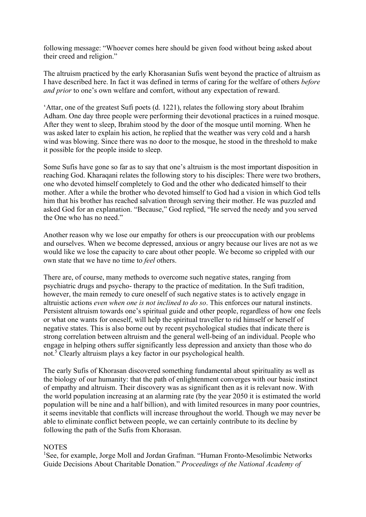following message: "Whoever comes here should be given food without being asked about their creed and religion."

The altruism practiced by the early Khorasanian Sufis went beyond the practice of altruism as I have described here. In fact it was defined in terms of caring for the welfare of others before and prior to one's own welfare and comfort, without any expectation of reward.

'Attar, one of the greatest Sufi poets (d. 1221), relates the following story about Ibrahim Adham. One day three people were performing their devotional practices in a ruined mosque. After they went to sleep, Ibrahim stood by the door of the mosque until morning. When he was asked later to explain his action, he replied that the weather was very cold and a harsh wind was blowing. Since there was no door to the mosque, he stood in the threshold to make it possible for the people inside to sleep.

Some Sufis have gone so far as to say that one's altruism is the most important disposition in reaching God. Kharaqani relates the following story to his disciples: There were two brothers, one who devoted himself completely to God and the other who dedicated himself to their mother. After a while the brother who devoted himself to God had a vision in which God tells him that his brother has reached salvation through serving their mother. He was puzzled and asked God for an explanation. "Because," God replied, "He served the needy and you served the One who has no need."

Another reason why we lose our empathy for others is our preoccupation with our problems and ourselves. When we become depressed, anxious or angry because our lives are not as we would like we lose the capacity to care about other people. We become so crippled with our own state that we have no time to *feel* others.

There are, of course, many methods to overcome such negative states, ranging from psychiatric drugs and psycho- therapy to the practice of meditation. In the Sufi tradition, however, the main remedy to cure oneself of such negative states is to actively engage in altruistic actions even when one is not inclined to do so. This enforces our natural instincts. Persistent altruism towards one's spiritual guide and other people, regardless of how one feels or what one wants for oneself, will help the spiritual traveller to rid himself or herself of negative states. This is also borne out by recent psychological studies that indicate there is strong correlation between altruism and the general well-being of an individual. People who engage in helping others suffer significantly less depression and anxiety than those who do not.<sup>5</sup> Clearly altruism plays a key factor in our psychological health.

The early Sufis of Khorasan discovered something fundamental about spirituality as well as the biology of our humanity: that the path of enlightenment converges with our basic instinct of empathy and altruism. Their discovery was as significant then as it is relevant now. With the world population increasing at an alarming rate (by the year 2050 it is estimated the world population will be nine and a half billion), and with limited resources in many poor countries, it seems inevitable that conflicts will increase throughout the world. Though we may never be able to eliminate conflict between people, we can certainly contribute to its decline by following the path of the Sufis from Khorasan.

## **NOTES**

<sup>1</sup>See, for example, Jorge Moll and Jordan Grafman. "Human Fronto-Mesolimbic Networks Guide Decisions About Charitable Donation." Proceedings of the National Academy of